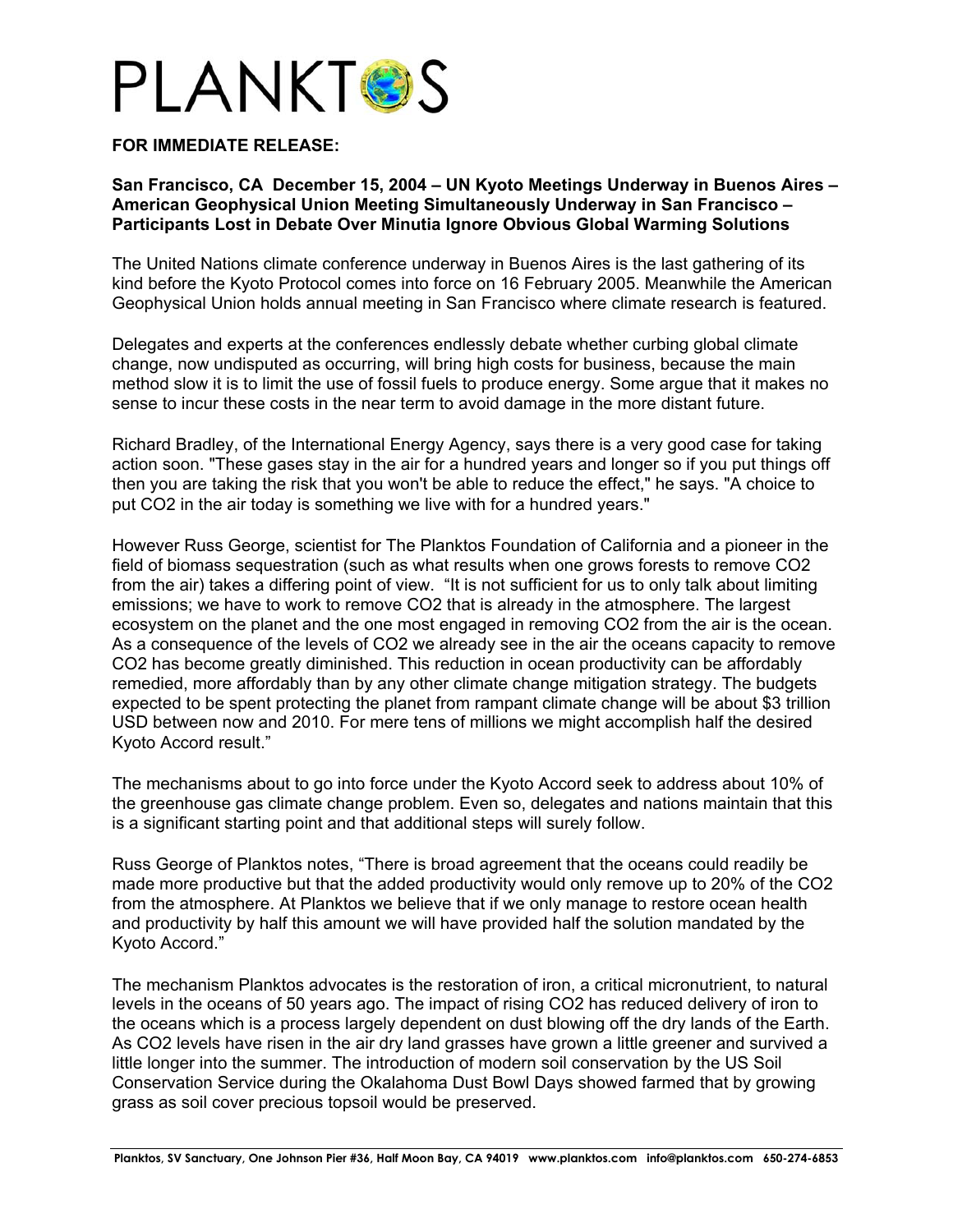

## **FOR IMMEDIATE RELEASE:**

## **San Francisco, CA December 15, 2004 – UN Kyoto Meetings Underway in Buenos Aires – American Geophysical Union Meeting Simultaneously Underway in San Francisco – Participants Lost in Debate Over Minutia Ignore Obvious Global Warming Solutions**

The United Nations climate conference underway in Buenos Aires is the last gathering of its kind before the Kyoto Protocol comes into force on 16 February 2005. Meanwhile the American Geophysical Union holds annual meeting in San Francisco where climate research is featured.

Delegates and experts at the conferences endlessly debate whether curbing global climate change, now undisputed as occurring, will bring high costs for business, because the main method slow it is to limit the use of fossil fuels to produce energy. Some argue that it makes no sense to incur these costs in the near term to avoid damage in the more distant future.

Richard Bradley, of the International Energy Agency, says there is a very good case for taking action soon. "These gases stay in the air for a hundred years and longer so if you put things off then you are taking the risk that you won't be able to reduce the effect," he says. "A choice to put CO2 in the air today is something we live with for a hundred years."

However Russ George, scientist for The Planktos Foundation of California and a pioneer in the field of biomass sequestration (such as what results when one grows forests to remove CO2 from the air) takes a differing point of view. "It is not sufficient for us to only talk about limiting emissions; we have to work to remove CO2 that is already in the atmosphere. The largest ecosystem on the planet and the one most engaged in removing CO2 from the air is the ocean. As a consequence of the levels of CO2 we already see in the air the oceans capacity to remove CO2 has become greatly diminished. This reduction in ocean productivity can be affordably remedied, more affordably than by any other climate change mitigation strategy. The budgets expected to be spent protecting the planet from rampant climate change will be about \$3 trillion USD between now and 2010. For mere tens of millions we might accomplish half the desired Kyoto Accord result."

The mechanisms about to go into force under the Kyoto Accord seek to address about 10% of the greenhouse gas climate change problem. Even so, delegates and nations maintain that this is a significant starting point and that additional steps will surely follow.

Russ George of Planktos notes, "There is broad agreement that the oceans could readily be made more productive but that the added productivity would only remove up to 20% of the CO2 from the atmosphere. At Planktos we believe that if we only manage to restore ocean health and productivity by half this amount we will have provided half the solution mandated by the Kyoto Accord."

The mechanism Planktos advocates is the restoration of iron, a critical micronutrient, to natural levels in the oceans of 50 years ago. The impact of rising CO2 has reduced delivery of iron to the oceans which is a process largely dependent on dust blowing off the dry lands of the Earth. As CO2 levels have risen in the air dry land grasses have grown a little greener and survived a little longer into the summer. The introduction of modern soil conservation by the US Soil Conservation Service during the Okalahoma Dust Bowl Days showed farmed that by growing grass as soil cover precious topsoil would be preserved.